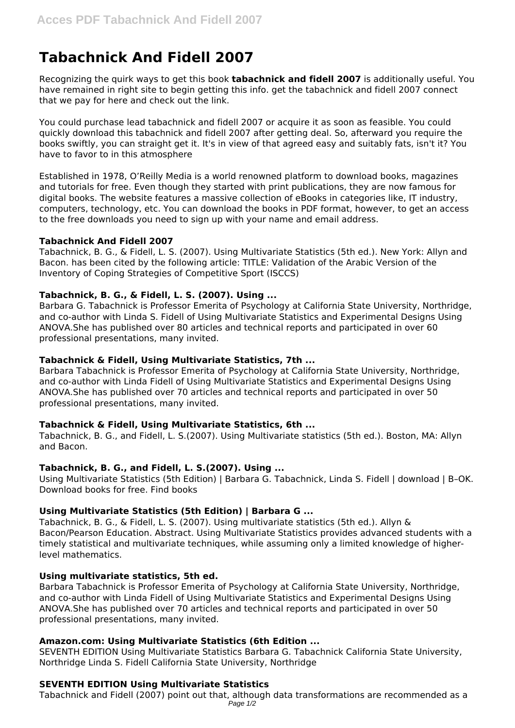# **Tabachnick And Fidell 2007**

Recognizing the quirk ways to get this book **tabachnick and fidell 2007** is additionally useful. You have remained in right site to begin getting this info. get the tabachnick and fidell 2007 connect that we pay for here and check out the link.

You could purchase lead tabachnick and fidell 2007 or acquire it as soon as feasible. You could quickly download this tabachnick and fidell 2007 after getting deal. So, afterward you require the books swiftly, you can straight get it. It's in view of that agreed easy and suitably fats, isn't it? You have to favor to in this atmosphere

Established in 1978, O'Reilly Media is a world renowned platform to download books, magazines and tutorials for free. Even though they started with print publications, they are now famous for digital books. The website features a massive collection of eBooks in categories like, IT industry, computers, technology, etc. You can download the books in PDF format, however, to get an access to the free downloads you need to sign up with your name and email address.

## **Tabachnick And Fidell 2007**

Tabachnick, B. G., & Fidell, L. S. (2007). Using Multivariate Statistics (5th ed.). New York: Allyn and Bacon. has been cited by the following article: TITLE: Validation of the Arabic Version of the Inventory of Coping Strategies of Competitive Sport (ISCCS)

# **Tabachnick, B. G., & Fidell, L. S. (2007). Using ...**

Barbara G. Tabachnick is Professor Emerita of Psychology at California State University, Northridge, and co-author with Linda S. Fidell of Using Multivariate Statistics and Experimental Designs Using ANOVA.She has published over 80 articles and technical reports and participated in over 60 professional presentations, many invited.

## **Tabachnick & Fidell, Using Multivariate Statistics, 7th ...**

Barbara Tabachnick is Professor Emerita of Psychology at California State University, Northridge, and co-author with Linda Fidell of Using Multivariate Statistics and Experimental Designs Using ANOVA.She has published over 70 articles and technical reports and participated in over 50 professional presentations, many invited.

#### **Tabachnick & Fidell, Using Multivariate Statistics, 6th ...**

Tabachnick, B. G., and Fidell, L. S.(2007). Using Multivariate statistics (5th ed.). Boston, MA: Allyn and Bacon.

# **Tabachnick, B. G., and Fidell, L. S.(2007). Using ...**

Using Multivariate Statistics (5th Edition) | Barbara G. Tabachnick, Linda S. Fidell | download | B–OK. Download books for free. Find books

# **Using Multivariate Statistics (5th Edition) | Barbara G ...**

Tabachnick, B. G., & Fidell, L. S. (2007). Using multivariate statistics (5th ed.). Allyn & Bacon/Pearson Education. Abstract. Using Multivariate Statistics provides advanced students with a timely statistical and multivariate techniques, while assuming only a limited knowledge of higherlevel mathematics.

#### **Using multivariate statistics, 5th ed.**

Barbara Tabachnick is Professor Emerita of Psychology at California State University, Northridge, and co-author with Linda Fidell of Using Multivariate Statistics and Experimental Designs Using ANOVA.She has published over 70 articles and technical reports and participated in over 50 professional presentations, many invited.

# **Amazon.com: Using Multivariate Statistics (6th Edition ...**

SEVENTH EDITION Using Multivariate Statistics Barbara G. Tabachnick California State University, Northridge Linda S. Fidell California State University, Northridge

# **SEVENTH EDITION Using Multivariate Statistics**

Tabachnick and Fidell (2007) point out that, although data transformations are recommended as a Page 1/2